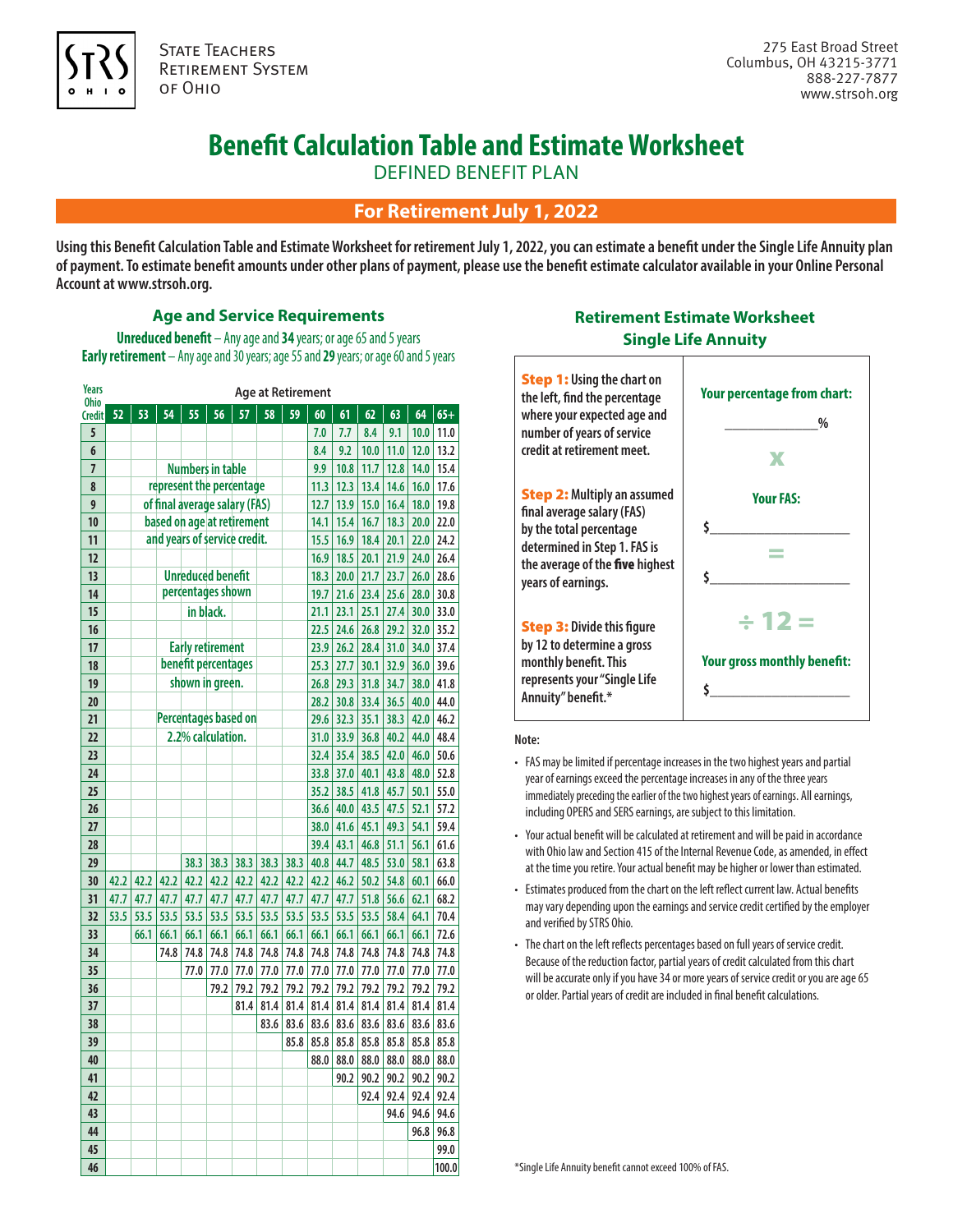

**STATE TEACHERS** Retirement System of Ohio

# **Benefit Calculation Table and Estimate Worksheet**

DEFINED BENEFIT PLAN

## **For Retirement July 1, 2022**

**Using this Benefit Calculation Table and Estimate Worksheet for retirement July 1, 2022, you can estimate a benefit under the Single Life Annuity plan of payment. To estimate benefit amounts under other plans of payment, please use the benefit estimate calculator available in your Online Personal Account at www.strsoh.org.**

#### **Age and Service Requirements**

**Unreduced benefit** – Any age and **34** years; or age 65 and 5 years **Early retirement** – Any age and 30 years; age 55 and **29** years; or age 60 and 5 years

| <b>Years</b><br><b>Ohio</b> | <b>Age at Retirement</b>   |                              |      |                               |           |      |      |      |      |      |      |      |      |       |
|-----------------------------|----------------------------|------------------------------|------|-------------------------------|-----------|------|------|------|------|------|------|------|------|-------|
| <b>Credit</b>               | 52                         | 53                           | 54   | 55                            | 56        | 57   | 58   | 59   | 60   | 61   | 62   | 63   | 64   | $65+$ |
| 5                           |                            |                              |      |                               |           |      |      |      | 7.0  | 7.7  | 8.4  | 9.1  | 10.0 | 11.0  |
| 6                           |                            |                              |      |                               |           |      |      |      | 8.4  | 9.2  | 10.0 | 11.0 | 12.0 | 13.2  |
| $\overline{7}$              |                            |                              |      | <b>Numbers in table</b>       |           |      |      |      | 9.9  | 10.8 | 11.7 | 12.8 | 14.0 | 15.4  |
| 8                           |                            |                              |      | represent the percentage      |           |      |      |      | 11.3 | 12.3 | 13.4 | 14.6 | 16.0 | 17.6  |
| 9                           |                            |                              |      | of final average salary (FAS) |           |      |      |      | 12.7 | 13.9 | 15.0 | 16.4 | 18.0 | 19.8  |
| 10                          | based on age at retirement |                              |      |                               |           |      |      |      | 14.1 | 15.4 | 16.7 | 18.3 | 20.0 | 22.0  |
| 11                          |                            | and years of service credit. |      |                               |           |      |      |      | 15.5 | 16.9 | 18.4 | 20.1 | 22.0 | 24.2  |
| 12                          |                            |                              |      |                               |           |      |      |      | 16.9 | 18.5 | 20.1 | 21.9 | 24.0 | 26.4  |
| 1 <sup>3</sup>              |                            | <b>Unreduced benefit</b>     |      |                               |           |      |      |      | 18.3 | 20.0 | 21.7 | 23.7 | 26.0 | 28.6  |
| 14                          |                            |                              |      | percentages shown             |           |      |      |      | 19.7 | 21.6 | 23.4 | 25.6 | 28.0 | 30.8  |
| 15                          |                            |                              |      |                               | in black. |      |      |      | 21.1 | 23.1 | 25.1 | 27.4 | 30.0 | 33.0  |
| 16                          |                            |                              |      |                               |           |      |      |      | 22.5 | 24.6 | 26.8 | 29.2 | 32.0 | 35.2  |
| 17                          |                            |                              |      | <b>Early retirement</b>       |           |      |      |      | 23.9 | 26.2 | 28.4 | 31.0 | 34.0 | 37.4  |
| 18                          |                            |                              |      | benefit percentages           |           |      |      |      | 25.3 | 27.7 | 30.1 | 32.9 | 36.0 | 39.6  |
| 19                          |                            |                              |      | shown in green.               |           |      |      |      | 26.8 | 29.3 | 31.8 | 34.7 | 38.0 | 41.8  |
| 20                          |                            |                              |      |                               |           |      |      |      | 28.2 | 30.8 | 33.4 | 36.5 | 40.0 | 44.0  |
| 21                          |                            |                              |      | <b>Percentages based on</b>   |           |      |      |      | 29.6 | 32.3 | 35.1 | 38.3 | 42.0 | 46.2  |
| 22                          |                            |                              |      | 2.2% calculation.             |           |      |      |      | 31.0 | 33.9 | 36.8 | 40.2 | 44.0 | 48.4  |
| 23                          |                            |                              |      |                               |           |      |      |      | 32.4 | 35.4 | 38.5 | 42.0 | 46.0 | 50.6  |
| 24                          |                            |                              |      |                               |           |      |      |      | 33.8 | 37.0 | 40.1 | 43.8 | 48.0 | 52.8  |
| 25                          |                            |                              |      |                               |           |      |      |      | 35.2 | 38.5 | 41.8 | 45.7 | 50.1 | 55.0  |
| 26                          |                            |                              |      |                               |           |      |      |      | 36.6 | 40.0 | 43.5 | 47.5 | 52.1 | 57.2  |
| 27                          |                            |                              |      |                               |           |      |      |      | 38.0 | 41.6 | 45.1 | 49.3 | 54.1 | 59.4  |
| 28                          |                            |                              |      |                               |           |      |      |      | 39.4 | 43.1 | 46.8 | 51.1 | 56.1 | 61.6  |
| 29                          |                            |                              |      | 38.3                          | 38.3      | 38.3 | 38.3 | 38.3 | 40.8 | 44.7 | 48.5 | 53.0 | 58.1 | 63.8  |
| 30                          | 42.2                       | 42.2                         | 42.2 | 42.2                          | 42.2      | 42.2 | 42.2 | 42.2 | 42.2 | 46.2 | 50.2 | 54.8 | 60.1 | 66.0  |
| 31                          | 47.7                       | 47.7                         | 47.7 | 47.7                          | 47.7      | 47.7 | 47.7 | 47.7 | 47.7 | 47.7 | 51.8 | 56.6 | 62.1 | 68.2  |
| 32                          | 53.5                       | 53.5                         | 53.5 | 53.5                          | 53.5      | 53.5 | 53.5 | 53.5 | 53.5 | 53.5 | 53.5 | 58.4 | 64.1 | 70.4  |
| 33                          |                            | 66.1                         | 66.1 | 66.1                          | 66.1      | 66.1 | 66.1 | 66.1 | 66.1 | 66.1 | 66.1 | 66.1 | 66.1 | 72.6  |
| 34                          |                            |                              | 74.8 | 74.8                          | 74.8      | 74.8 | 74.8 | 74.8 | 74.8 | 74.8 | 74.8 | 74.8 | 74.8 | 74.8  |
| 35                          |                            |                              |      | 77.0                          | 77.0      | 77.0 | 77.0 | 77.0 | 77.0 | 77.0 | 77.0 | 77.0 | 77.0 | 77.0  |
| 36                          |                            |                              |      |                               | 79.2      | 79.2 | 79.2 | 79.2 | 79.2 | 79.2 | 79.2 | 79.2 | 79.2 | 79.2  |
| 37                          |                            |                              |      |                               |           | 81.4 | 81.4 | 81.4 | 81.4 | 81.4 | 81.4 | 81.4 | 81.4 | 81.4  |
| 38                          |                            |                              |      |                               |           |      | 83.6 | 83.6 | 83.6 | 83.6 | 83.6 | 83.6 | 83.6 | 83.6  |
| 39                          |                            |                              |      |                               |           |      |      | 85.8 | 85.8 | 85.8 | 85.8 | 85.8 | 85.8 | 85.8  |
| 40                          |                            |                              |      |                               |           |      |      |      | 88.0 | 88.0 | 88.0 | 88.0 | 88.0 | 88.0  |
| 41                          |                            |                              |      |                               |           |      |      |      |      | 90.2 | 90.2 | 90.2 | 90.2 | 90.2  |
| 42                          |                            |                              |      |                               |           |      |      |      |      |      | 92.4 | 92.4 | 92.4 | 92.4  |
| 43                          |                            |                              |      |                               |           |      |      |      |      |      |      | 94.6 | 94.6 | 94.6  |
| 44                          |                            |                              |      |                               |           |      |      |      |      |      |      |      | 96.8 | 96.8  |
| 45                          |                            |                              |      |                               |           |      |      |      |      |      |      |      |      | 99.0  |
| 46                          |                            |                              |      |                               |           |      |      |      |      |      |      |      |      | 100.0 |

## **Retirement Estimate Worksheet Single Life Annuity**



#### **Note:**

- FAS may be limited if percentage increases in the two highest years and partial year of earnings exceed the percentage increases in any of the three years immediately preceding the earlier of the two highest years of earnings. All earnings, including OPERS and SERS earnings, are subject to this limitation.
- Your actual benefit will be calculated at retirement and will be paid in accordance with Ohio law and Section 415 of the Internal Revenue Code, as amended, in effect at the time you retire. Your actual benefit may be higher or lower than estimated.
- Estimates produced from the chart on the left reflect current law. Actual benefits may vary depending upon the earnings and service credit certified by the employer and verified by STRS Ohio.
- The chart on the left reflects percentages based on full years of service credit. Because of the reduction factor, partial years of credit calculated from this chart will be accurate only if you have 34 or more years of service credit or you are age 65 or older. Partial years of credit are included in final benefit calculations.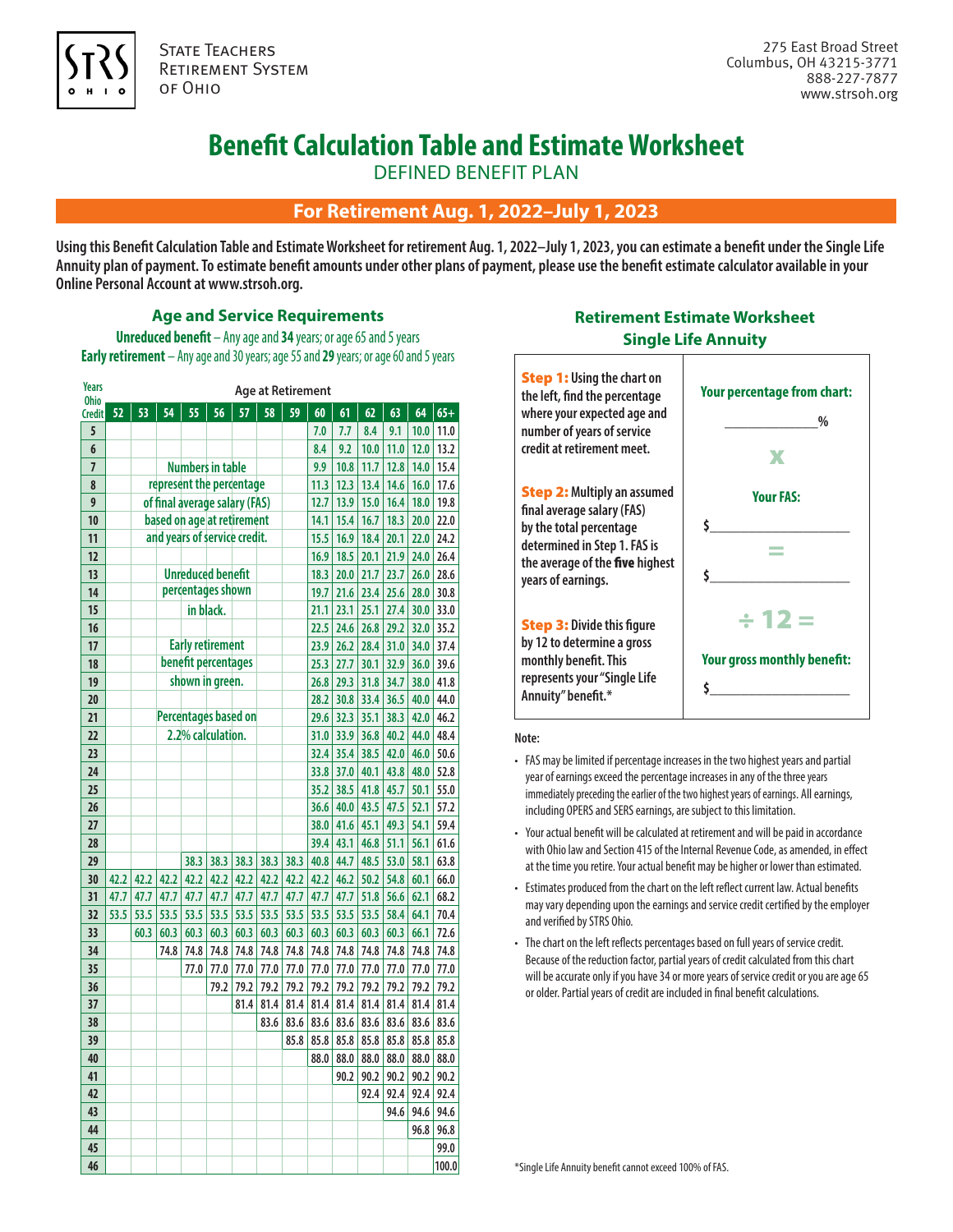

**STATE TEACHERS** Retirement System of Ohio

# **Benefit Calculation Table and Estimate Worksheet**

DEFINED BENEFIT PLAN

## **For Retirement Aug. 1, 2022–July 1, 2023**

**Using this Benefit Calculation Table and Estimate Worksheet for retirement Aug. 1, 2022–July 1, 2023, you can estimate a benefit under the Single Life Annuity plan of payment. To estimate benefit amounts under other plans of payment, please use the benefit estimate calculator available in your Online Personal Account at www.strsoh.org.**

#### **Age and Service Requirements**

**Unreduced benefit** – Any age and **34** years; or age 65 and 5 years **Early retirement** – Any age and 30 years; age 55 and **29** years; or age 60 and 5 years

| <b>Years</b><br>Ohio | <b>Age at Retirement</b> |                              |      |                               |      |      |      |      |      |      |      |      |      |       |
|----------------------|--------------------------|------------------------------|------|-------------------------------|------|------|------|------|------|------|------|------|------|-------|
| <b>Credit</b>        | 52                       | 53                           | 54   | 55                            | 56   | 57   | 58   | 59   | 60   | 61   | 62   | 63   | 64   | $65+$ |
| 5                    |                          |                              |      |                               |      |      |      |      | 7.0  | 7.7  | 8.4  | 9.1  | 10.0 | 11.0  |
| 6                    |                          |                              |      |                               |      |      |      |      | 8.4  | 9.2  | 10.0 | 11.0 | 12.0 | 13.2  |
| $\overline{7}$       |                          |                              |      | <b>Numbers in table</b>       |      |      |      |      | 9.9  | 10.8 | 11.7 | 12.8 | 14.0 | 15.4  |
| 8                    |                          |                              |      | represent the percentage      |      |      |      |      | 11.3 | 12.3 | 13.4 | 14.6 | 16.0 | 17.6  |
| 9                    |                          |                              |      | of final average salary (FAS) |      |      |      |      | 12.7 | 13.9 | 15.0 | 16.4 | 18.0 | 19.8  |
| 10                   |                          | based on age at retirement   |      |                               |      |      |      |      |      | 15.4 | 16.7 | 18.3 | 20.0 | 22.0  |
| 11                   |                          | and years of service credit. |      |                               |      |      |      |      | 15.5 | 16.9 | 18.4 | 20.1 | 22.0 | 24.2  |
| 12                   |                          |                              |      |                               |      |      |      |      | 16.9 | 18.5 | 20.1 | 21.9 | 24.0 | 26.4  |
| 1 <sup>3</sup>       |                          | <b>Unreduced benefit</b>     |      |                               |      |      |      |      | 18.3 | 20.0 | 21.7 | 23.7 | 26.0 | 28.6  |
| 14                   |                          |                              |      | percentages shown             |      |      |      |      | 19.7 | 21.6 | 23.4 | 25.6 | 28.0 | 30.8  |
| 15                   |                          |                              |      | in black.                     |      |      |      |      | 21.1 | 23.1 | 25.1 | 27.4 | 30.0 | 33.0  |
| 16                   |                          |                              |      |                               |      |      |      |      | 22.5 | 24.6 | 26.8 | 29.2 | 32.0 | 35.2  |
| 17                   |                          |                              |      | <b>Early retirement</b>       |      |      |      |      | 23.9 | 26.2 | 28.4 | 31.0 | 34.0 | 37.4  |
| 18                   |                          |                              |      | benefit percentages           |      |      |      |      | 25.3 | 27.7 | 30.1 | 32.9 | 36.0 | 39.6  |
| 19                   |                          |                              |      | shown in green.               |      |      |      |      | 26.8 | 29.3 | 31.8 | 34.7 | 38.0 | 41.8  |
| 20                   |                          |                              |      |                               |      |      |      |      | 28.2 | 30.8 | 33.4 | 36.5 | 40.0 | 44.0  |
| 21                   |                          |                              |      | <b>Percentages based on</b>   |      |      |      |      | 29.6 | 32.3 | 35.1 | 38.3 | 42.0 | 46.2  |
| 22                   |                          |                              |      | 2.2% calculation.             |      |      |      |      | 31.0 | 33.9 | 36.8 | 40.2 | 44.0 | 48.4  |
| 23                   |                          |                              |      |                               |      |      |      |      | 32.4 | 35.4 | 38.5 | 42.0 | 46.0 | 50.6  |
| 24                   |                          |                              |      |                               |      |      |      |      | 33.8 | 37.0 | 40.1 | 43.8 | 48.0 | 52.8  |
| 25                   |                          |                              |      |                               |      |      |      |      | 35.2 | 38.5 | 41.8 | 45.7 | 50.1 | 55.0  |
| 26                   |                          |                              |      |                               |      |      |      |      | 36.6 | 40.0 | 43.5 | 47.5 | 52.1 | 57.2  |
| 27                   |                          |                              |      |                               |      |      |      |      | 38.0 | 41.6 | 45.1 | 49.3 | 54.1 | 59.4  |
| 28                   |                          |                              |      |                               |      |      |      |      | 39.4 | 43.1 | 46.8 | 51.1 | 56.1 | 61.6  |
| 29                   |                          |                              |      | 38.3                          | 38.3 | 38.3 | 38.3 | 38.3 | 40.8 | 44.7 | 48.5 | 53.0 | 58.1 | 63.8  |
| 30                   | 42.2                     | 42.2                         | 42.2 | 42.2                          | 42.2 | 42.2 | 42.2 | 42.2 | 42.2 | 46.2 | 50.2 | 54.8 | 60.1 | 66.0  |
| 31                   | 47.7                     | 47.7                         | 47.7 | 47.7                          | 47.7 | 47.7 | 47.7 | 47.7 | 47.7 | 47.7 | 51.8 | 56.6 | 62.1 | 68.2  |
| 32                   | 53.5                     | 53.5                         | 53.5 | 53.5                          | 53.5 | 53.5 | 53.5 | 53.5 | 53.5 | 53.5 | 53.5 | 58.4 | 64.1 | 70.4  |
| 33                   |                          | 60.3                         | 60.3 | 60.3                          | 60.3 | 60.3 | 60.3 | 60.3 | 60.3 | 60.3 | 60.3 | 60.3 | 66.1 | 72.6  |
| 34                   |                          |                              | 74.8 | 74.8                          | 74.8 | 74.8 | 74.8 | 74.8 | 74.8 | 74.8 | 74.8 | 74.8 | 74.8 | 74.8  |
| 35                   |                          |                              |      | 77.0                          | 77.0 | 77.0 | 77.0 | 77.0 | 77.0 | 77.0 | 77.0 | 77.0 | 77.0 | 77.0  |
| 36                   |                          |                              |      |                               | 79.2 | 79.2 | 79.2 | 79.2 | 79.2 | 79.2 | 79.2 | 79.2 | 79.2 | 79.2  |
| 37                   |                          |                              |      |                               |      | 81.4 | 81.4 | 81.4 | 81.4 | 81.4 | 81.4 | 81.4 | 81.4 | 81.4  |
| 38                   |                          |                              |      |                               |      |      | 83.6 | 83.6 | 83.6 | 83.6 | 83.6 | 83.6 | 83.6 | 83.6  |
| 39                   |                          |                              |      |                               |      |      |      | 85.8 | 85.8 | 85.8 | 85.8 | 85.8 | 85.8 | 85.8  |
| 40                   |                          |                              |      |                               |      |      |      |      | 88.0 | 88.0 | 88.0 | 88.0 | 88.0 | 88.0  |
| 41                   |                          |                              |      |                               |      |      |      |      |      | 90.2 | 90.2 | 90.2 | 90.2 | 90.2  |
| 42                   |                          |                              |      |                               |      |      |      |      |      |      | 92.4 | 92.4 | 92.4 | 92.4  |
| 43                   |                          |                              |      |                               |      |      |      |      |      |      |      | 94.6 | 94.6 | 94.6  |
| 44                   |                          |                              |      |                               |      |      |      |      |      |      |      |      | 96.8 | 96.8  |
| 45                   |                          |                              |      |                               |      |      |      |      |      |      |      |      |      | 99.0  |
| 46                   |                          |                              |      |                               |      |      |      |      |      |      |      |      |      | 100.0 |

### **Retirement Estimate Worksheet Single Life Annuity**



#### **Note:**

- FAS may be limited if percentage increases in the two highest years and partial year of earnings exceed the percentage increases in any of the three years immediately preceding the earlier of the two highest years of earnings. All earnings, including OPERS and SERS earnings, are subject to this limitation.
- Your actual benefit will be calculated at retirement and will be paid in accordance with Ohio law and Section 415 of the Internal Revenue Code, as amended, in effect at the time you retire. Your actual benefit may be higher or lower than estimated.
- Estimates produced from the chart on the left reflect current law. Actual benefits may vary depending upon the earnings and service credit certified by the employer and verified by STRS Ohio.
- The chart on the left reflects percentages based on full years of service credit. Because of the reduction factor, partial years of credit calculated from this chart will be accurate only if you have 34 or more years of service credit or you are age 65 or older. Partial years of credit are included in final benefit calculations.